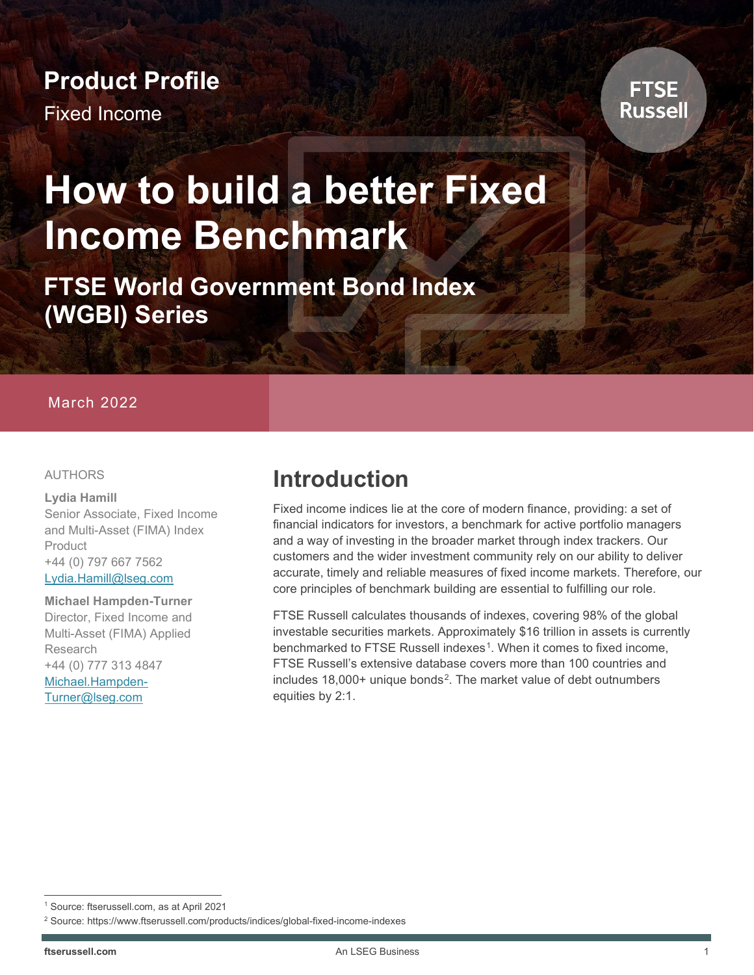# **Product Profile**

Fixed Income



# **How to build a better Fixed Income Benchmark**

**FTSE World Government Bond Index (WGBI) Series**

#### March 2022

#### AUTHORS

#### **Lydia Hamill**

Senior Associate, Fixed Income and Multi-Asset (FIMA) Index **Product** +44 (0) 797 667 7562 [Lydia.Hamill@lseg.com](mailto:Lydia.Hamill@lseg.com)

#### **Michael Hampden-Turner**

Director, Fixed Income and Multi-Asset (FIMA) Applied Research +44 (0) 777 313 4847 [Michael.Hampden-](mailto:Michael.Hampden-Turner@lseg.com)[Turner@lseg.com](mailto:Michael.Hampden-Turner@lseg.com)

### **Introduction**

Fixed income indices lie at the core of modern finance, providing: a set of financial indicators for investors, a benchmark for active portfolio managers and a way of investing in the broader market through index trackers. Our customers and the wider investment community rely on our ability to deliver accurate, timely and reliable measures of fixed income markets. Therefore, our core principles of benchmark building are essential to fulfilling our role.

FTSE Russell calculates thousands of indexes, covering 98% of the global investable securities markets. Approximately \$16 trillion in assets is currently benchmarked to FTSE Russell indexes<sup>1</sup>. When it comes to fixed income, FTSE Russell's extensive database covers more than 100 countries and includes 18,000+ unique bonds<sup>2</sup>. The market value of debt outnumbers equities by 2:1.

<span id="page-0-0"></span><sup>1</sup> Source: ftserussell.com, as at April 2021

<span id="page-0-1"></span><sup>2</sup> Source: https://www.ftserussell.com/products/indices/global-fixed-income-indexes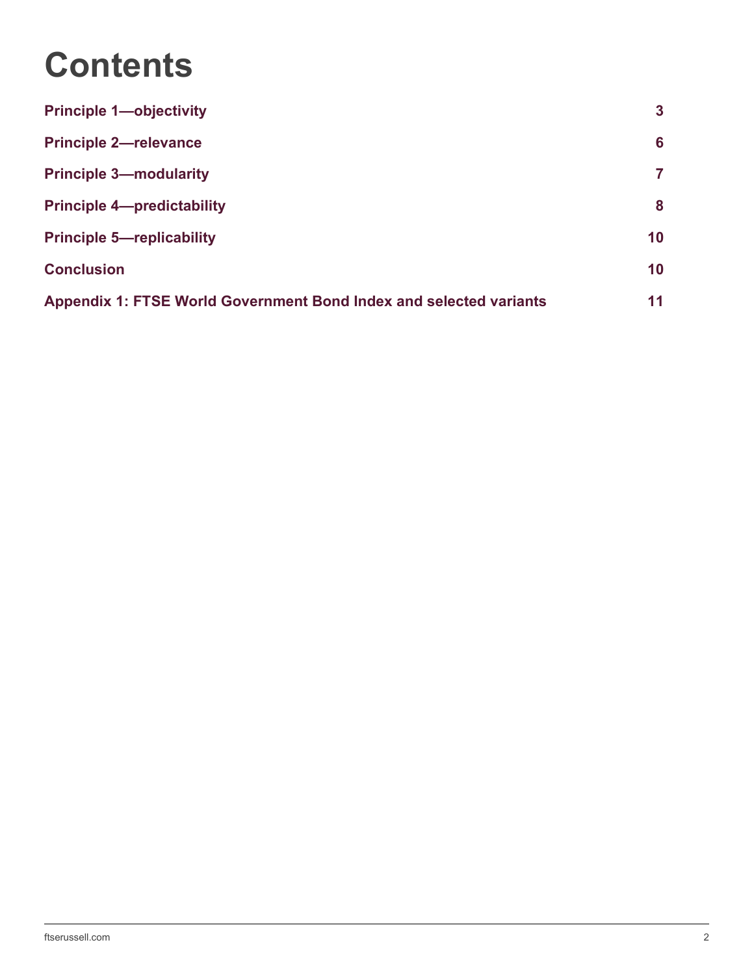# **Contents**

| <b>Principle 1-objectivity</b>                                            | 3  |
|---------------------------------------------------------------------------|----|
| <b>Principle 2-relevance</b>                                              | 6  |
| <b>Principle 3-modularity</b>                                             | 7  |
| <b>Principle 4-predictability</b>                                         | 8  |
| <b>Principle 5-replicability</b>                                          | 10 |
| <b>Conclusion</b>                                                         | 10 |
| <b>Appendix 1: FTSE World Government Bond Index and selected variants</b> | 11 |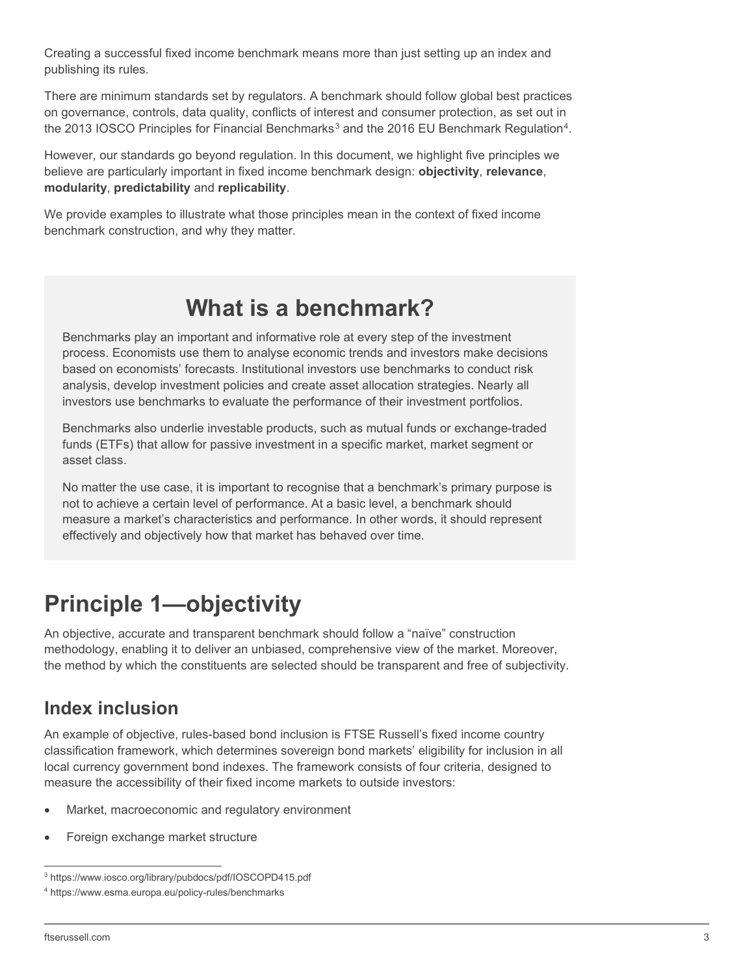Creating a successful fixed income benchmark means more than just setting up an index and publishing its rules.

There are minimum standards set by regulators. A benchmark should follow global best practices on governance, controls, data quality, conflicts of interest and consumer protection, as set out in the 201[3](#page-2-1) IOSCO Principles for Financial Benchmarks<sup>3</sup> and the 2016 EU Benchmark Regulation<sup>4</sup>.

However, our standards go beyond regulation. In this document, we highlight five principles we believe are particularly important in fixed income benchmark design: **objectivity**, **relevance**, **modularity**, **predictability** and **replicability**.

We provide examples to illustrate what those principles mean in the context of fixed income benchmark construction, and why they matter.

### **What is a benchmark?**

Benchmarks play an important and informative role at every step of the investment process. Economists use them to analyse economic trends and investors make decisions based on economists' forecasts. Institutional investors use benchmarks to conduct risk analysis, develop investment policies and create asset allocation strategies. Nearly all investors use benchmarks to evaluate the performance of their investment portfolios.

Benchmarks also underlie investable products, such as mutual funds or exchange-traded funds (ETFs) that allow for passive investment in a specific market, market segment or asset class.

No matter the use case, it is important to recognise that a benchmark's primary purpose is not to achieve a certain level of performance. At a basic level, a benchmark should measure a market's characteristics and performance. In other words, it should represent effectively and objectively how that market has behaved over time.

# <span id="page-2-0"></span>**Principle 1—objectivity**

An objective, accurate and transparent benchmark should follow a "naïve" construction methodology, enabling it to deliver an unbiased, comprehensive view of the market. Moreover, the method by which the constituents are selected should be transparent and free of subjectivity.

### **Index inclusion**

An example of objective, rules-based bond inclusion is FTSE Russell's fixed income country classification framework, which determines sovereign bond markets' eligibility for inclusion in all local currency government bond indexes. The framework consists of four criteria, designed to measure the accessibility of their fixed income markets to outside investors:

- Market, macroeconomic and regulatory environment
- Foreign exchange market structure

<span id="page-2-1"></span><sup>3</sup> https://www.iosco.org/library/pubdocs/pdf/IOSCOPD415.pdf

<span id="page-2-2"></span><sup>4</sup> https://www.esma.europa.eu/policy-rules/benchmarks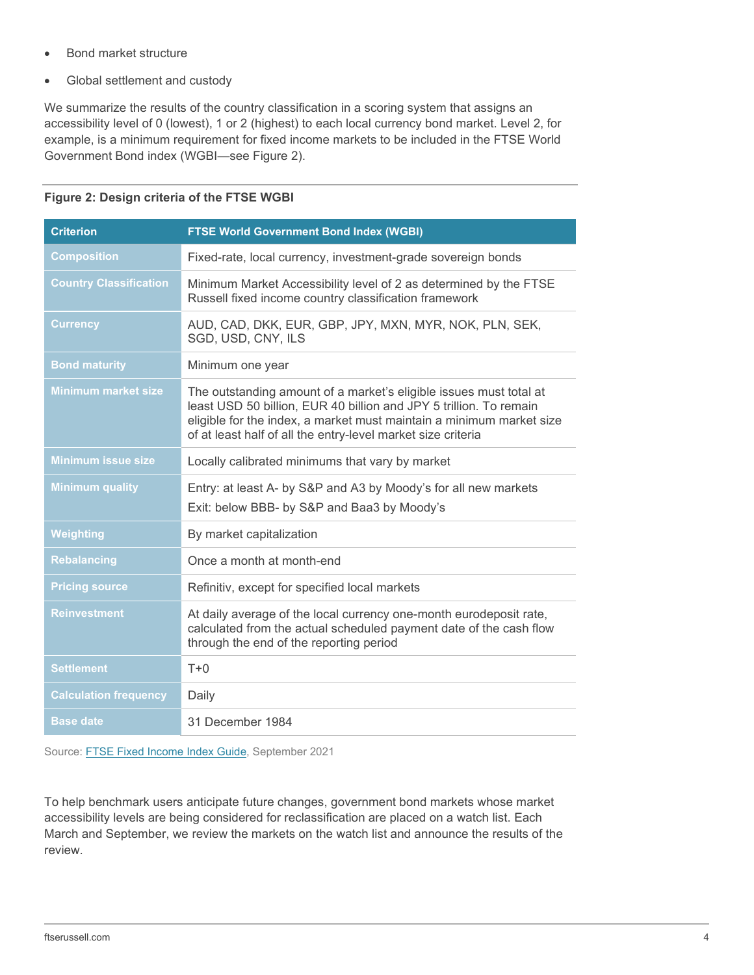- Bond market structure
- Global settlement and custody

We summarize the results of the country classification in a scoring system that assigns an accessibility level of 0 (lowest), 1 or 2 (highest) to each local currency bond market. Level 2, for example, is a minimum requirement for fixed income markets to be included in the FTSE World Government Bond index (WGBI—see Figure 2).

| <b>Criterion</b>              | <b>FTSE World Government Bond Index (WGBI)</b>                                                                                                                                                                                                                                   |
|-------------------------------|----------------------------------------------------------------------------------------------------------------------------------------------------------------------------------------------------------------------------------------------------------------------------------|
| <b>Composition</b>            | Fixed-rate, local currency, investment-grade sovereign bonds                                                                                                                                                                                                                     |
| <b>Country Classification</b> | Minimum Market Accessibility level of 2 as determined by the FTSE<br>Russell fixed income country classification framework                                                                                                                                                       |
| <b>Currency</b>               | AUD, CAD, DKK, EUR, GBP, JPY, MXN, MYR, NOK, PLN, SEK,<br>SGD, USD, CNY, ILS                                                                                                                                                                                                     |
| <b>Bond maturity</b>          | Minimum one year                                                                                                                                                                                                                                                                 |
| <b>Minimum market size</b>    | The outstanding amount of a market's eligible issues must total at<br>least USD 50 billion, EUR 40 billion and JPY 5 trillion. To remain<br>eligible for the index, a market must maintain a minimum market size<br>of at least half of all the entry-level market size criteria |
| <b>Minimum issue size</b>     | Locally calibrated minimums that vary by market                                                                                                                                                                                                                                  |
| <b>Minimum quality</b>        | Entry: at least A- by S&P and A3 by Moody's for all new markets<br>Exit: below BBB- by S&P and Baa3 by Moody's                                                                                                                                                                   |
| Weighting                     | By market capitalization                                                                                                                                                                                                                                                         |
| <b>Rebalancing</b>            | Once a month at month-end                                                                                                                                                                                                                                                        |
| <b>Pricing source</b>         | Refinitiv, except for specified local markets                                                                                                                                                                                                                                    |
| <b>Reinvestment</b>           | At daily average of the local currency one-month eurodeposit rate,<br>calculated from the actual scheduled payment date of the cash flow<br>through the end of the reporting period                                                                                              |
| <b>Settlement</b>             | $T+0$                                                                                                                                                                                                                                                                            |
| <b>Calculation frequency</b>  | Daily                                                                                                                                                                                                                                                                            |
| <b>Base date</b>              | 31 December 1984                                                                                                                                                                                                                                                                 |

#### **Figure 2: Design criteria of the FTSE WGBI**

Source[: FTSE Fixed Income Index Guide,](https://research.ftserussell.com/products/downloads/FTSE-Fixed-Income-Indexes-Guide.pdf) September 2021

To help benchmark users anticipate future changes, government bond markets whose market accessibility levels are being considered for reclassification are placed on a watch list. Each March and September, we review the markets on the watch list and announce the results of the review.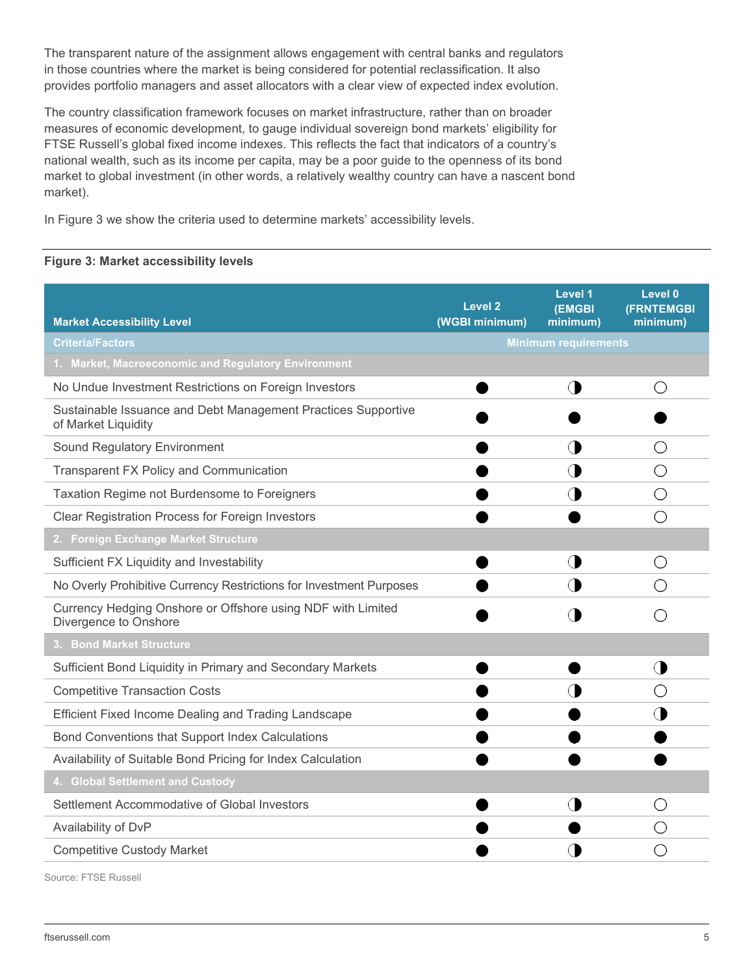The transparent nature of the assignment allows engagement with central banks and regulators in those countries where the market is being considered for potential reclassification. It also provides portfolio managers and asset allocators with a clear view of expected index evolution.

The country classification framework focuses on market infrastructure, rather than on broader measures of economic development, to gauge individual sovereign bond markets' eligibility for FTSE Russell's global fixed income indexes. This reflects the fact that indicators of a country's national wealth, such as its income per capita, may be a poor guide to the openness of its bond market to global investment (in other words, a relatively wealthy country can have a nascent bond market).

In Figure 3 we show the criteria used to determine markets' accessibility levels.

#### **Figure 3: Market accessibility levels**

| <b>Market Accessibility Level</b>                                                    | <b>Level 2</b><br>(WGBI minimum) | Level 1<br><b>(EMGBI</b><br>minimum) | Level 0<br><b>(FRNTEMGBI</b><br>minimum) |
|--------------------------------------------------------------------------------------|----------------------------------|--------------------------------------|------------------------------------------|
| <b>Criteria/Factors</b>                                                              | <b>Minimum requirements</b>      |                                      |                                          |
| 1. Market, Macroeconomic and Regulatory Environment                                  |                                  |                                      |                                          |
| No Undue Investment Restrictions on Foreign Investors                                |                                  | ◑                                    | ()                                       |
| Sustainable Issuance and Debt Management Practices Supportive<br>of Market Liquidity |                                  |                                      |                                          |
| Sound Regulatory Environment                                                         |                                  | O D                                  | ()                                       |
| <b>Transparent FX Policy and Communication</b>                                       |                                  |                                      | ()                                       |
| Taxation Regime not Burdensome to Foreigners                                         |                                  |                                      | ()                                       |
| <b>Clear Registration Process for Foreign Investors</b>                              |                                  |                                      | ( )                                      |
| 2. Foreign Exchange Market Structure                                                 |                                  |                                      |                                          |
| Sufficient FX Liquidity and Investability                                            |                                  |                                      | ( )                                      |
| No Overly Prohibitive Currency Restrictions for Investment Purposes                  |                                  |                                      |                                          |
| Currency Hedging Onshore or Offshore using NDF with Limited<br>Divergence to Onshore |                                  |                                      |                                          |
| 3. Bond Market Structure                                                             |                                  |                                      |                                          |
| Sufficient Bond Liquidity in Primary and Secondary Markets                           |                                  |                                      | ◑                                        |
| <b>Competitive Transaction Costs</b>                                                 |                                  |                                      | ( )                                      |
| Efficient Fixed Income Dealing and Trading Landscape                                 |                                  |                                      |                                          |
| Bond Conventions that Support Index Calculations                                     |                                  |                                      |                                          |
| Availability of Suitable Bond Pricing for Index Calculation                          |                                  |                                      |                                          |
| 4. Global Settlement and Custody                                                     |                                  |                                      |                                          |
| Settlement Accommodative of Global Investors                                         |                                  | O)                                   | ( )                                      |
| Availability of DvP                                                                  |                                  |                                      |                                          |
| <b>Competitive Custody Market</b>                                                    |                                  |                                      |                                          |

Source: FTSE Russell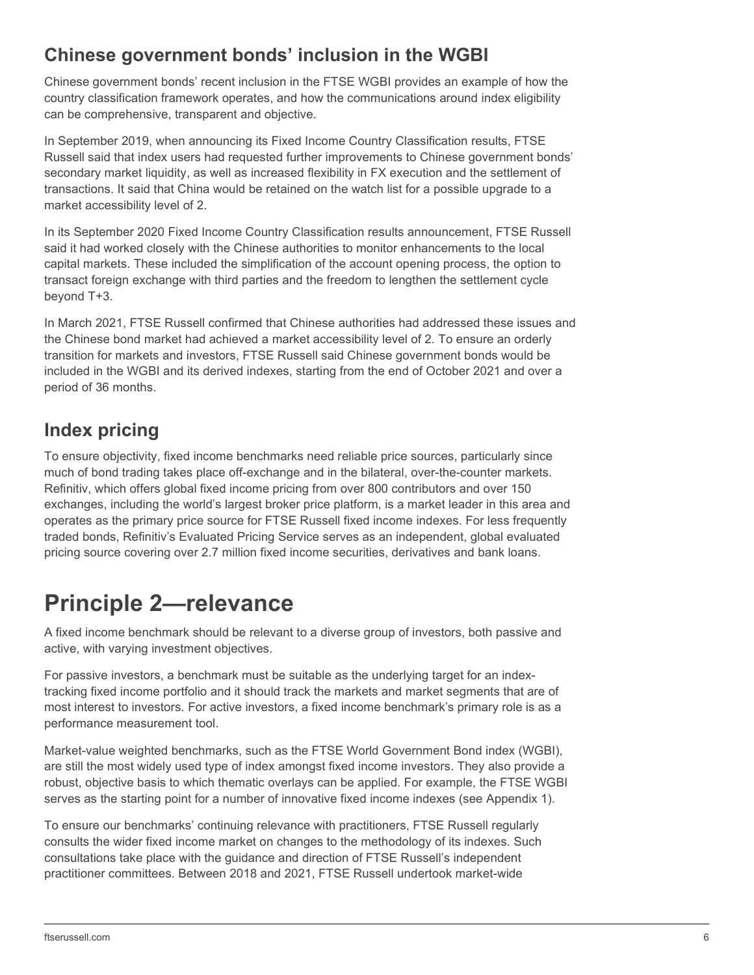### **Chinese government bonds' inclusion in the WGBI**

Chinese government bonds' recent inclusion in the FTSE WGBI provides an example of how the country classification framework operates, and how the communications around index eligibility can be comprehensive, transparent and objective.

In September 2019, when announcing its Fixed Income Country Classification results, FTSE Russell said that index users had requested further improvements to Chinese government bonds' secondary market liquidity, as well as increased flexibility in FX execution and the settlement of transactions. It said that China would be retained on the watch list for a possible upgrade to a market accessibility level of 2.

In its September 2020 Fixed Income Country Classification results announcement, FTSE Russell said it had worked closely with the Chinese authorities to monitor enhancements to the local capital markets. These included the simplification of the account opening process, the option to transact foreign exchange with third parties and the freedom to lengthen the settlement cycle beyond T+3.

In March 2021, FTSE Russell confirmed that Chinese authorities had addressed these issues and the Chinese bond market had achieved a market accessibility level of 2. To ensure an orderly transition for markets and investors, FTSE Russell said Chinese government bonds would be included in the WGBI and its derived indexes, starting from the end of October 2021 and over a period of 36 months.

### **Index pricing**

To ensure objectivity, fixed income benchmarks need reliable price sources, particularly since much of bond trading takes place off-exchange and in the bilateral, over-the-counter markets. Refinitiv, which offers global fixed income pricing from over 800 contributors and over 150 exchanges, including the world's largest broker price platform, is a market leader in this area and operates as the primary price source for FTSE Russell fixed income indexes. For less frequently traded bonds, Refinitiv's Evaluated Pricing Service serves as an independent, global evaluated pricing source covering over 2.7 million fixed income securities, derivatives and bank loans.

# <span id="page-5-0"></span>**Principle 2—relevance**

A fixed income benchmark should be relevant to a diverse group of investors, both passive and active, with varying investment objectives.

For passive investors, a benchmark must be suitable as the underlying target for an indextracking fixed income portfolio and it should track the markets and market segments that are of most interest to investors. For active investors, a fixed income benchmark's primary role is as a performance measurement tool.

Market-value weighted benchmarks, such as the FTSE World Government Bond index (WGBI), are still the most widely used type of index amongst fixed income investors. They also provide a robust, objective basis to which thematic overlays can be applied. For example, the FTSE WGBI serves as the starting point for a number of innovative fixed income indexes (see Appendix 1).

To ensure our benchmarks' continuing relevance with practitioners, FTSE Russell regularly consults the wider fixed income market on changes to the methodology of its indexes. Such consultations take place with the guidance and direction of FTSE Russell's independent practitioner committees. Between 2018 and 2021, FTSE Russell undertook market-wide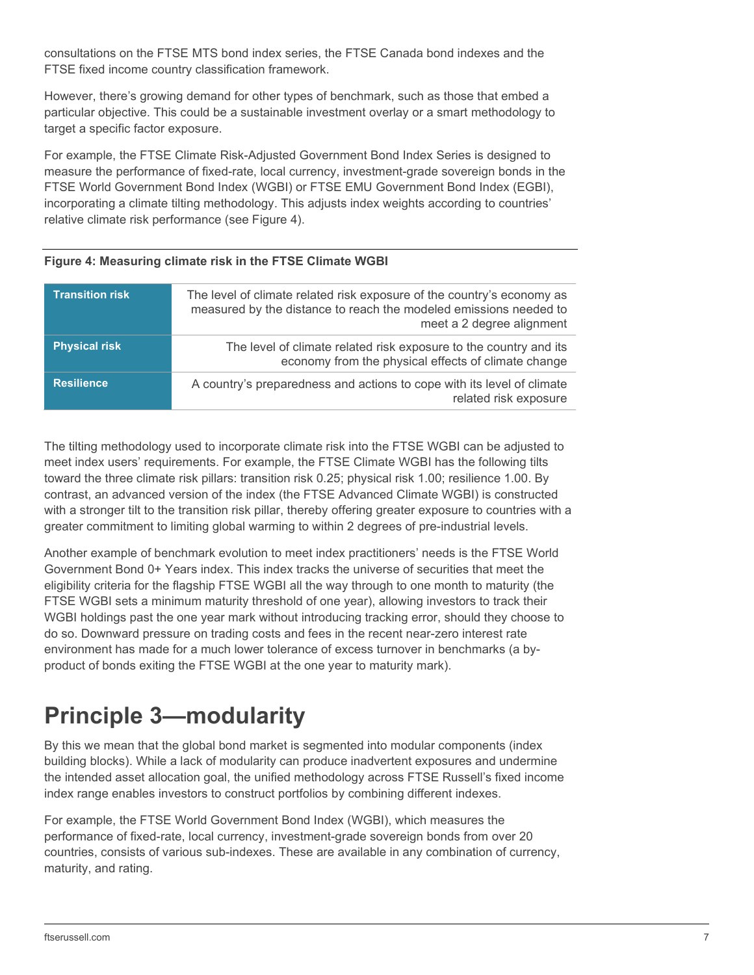consultations on the FTSE MTS bond index series, the FTSE Canada bond indexes and the FTSE fixed income country classification framework.

However, there's growing demand for other types of benchmark, such as those that embed a particular objective. This could be a sustainable investment overlay or a smart methodology to target a specific factor exposure.

For example, the FTSE Climate Risk-Adjusted Government Bond Index Series is designed to measure the performance of fixed-rate, local currency, investment-grade sovereign bonds in the FTSE World Government Bond Index (WGBI) or FTSE EMU Government Bond Index (EGBI), incorporating a climate tilting methodology. This adjusts index weights according to countries' relative climate risk performance (see Figure 4).

#### **Figure 4: Measuring climate risk in the FTSE Climate WGBI**

| <b>Transition risk</b> | The level of climate related risk exposure of the country's economy as<br>measured by the distance to reach the modeled emissions needed to<br>meet a 2 degree alignment |
|------------------------|--------------------------------------------------------------------------------------------------------------------------------------------------------------------------|
| <b>Physical risk</b>   | The level of climate related risk exposure to the country and its<br>economy from the physical effects of climate change                                                 |
| <b>Resilience</b>      | A country's preparedness and actions to cope with its level of climate<br>related risk exposure                                                                          |

The tilting methodology used to incorporate climate risk into the FTSE WGBI can be adjusted to meet index users' requirements. For example, the FTSE Climate WGBI has the following tilts toward the three climate risk pillars: transition risk 0.25; physical risk 1.00; resilience 1.00. By contrast, an advanced version of the index (the FTSE Advanced Climate WGBI) is constructed with a stronger tilt to the transition risk pillar, thereby offering greater exposure to countries with a greater commitment to limiting global warming to within 2 degrees of pre-industrial levels.

Another example of benchmark evolution to meet index practitioners' needs is the FTSE World Government Bond 0+ Years index. This index tracks the universe of securities that meet the eligibility criteria for the flagship FTSE WGBI all the way through to one month to maturity (the FTSE WGBI sets a minimum maturity threshold of one year), allowing investors to track their WGBI holdings past the one year mark without introducing tracking error, should they choose to do so. Downward pressure on trading costs and fees in the recent near-zero interest rate environment has made for a much lower tolerance of excess turnover in benchmarks (a byproduct of bonds exiting the FTSE WGBI at the one year to maturity mark).

# <span id="page-6-0"></span>**Principle 3—modularity**

By this we mean that the global bond market is segmented into modular components (index building blocks). While a lack of modularity can produce inadvertent exposures and undermine the intended asset allocation goal, the unified methodology across FTSE Russell's fixed income index range enables investors to construct portfolios by combining different indexes.

For example, the FTSE World Government Bond Index (WGBI), which measures the performance of fixed-rate, local currency, investment-grade sovereign bonds from over 20 countries, consists of various sub-indexes. These are available in any combination of currency, maturity, and rating.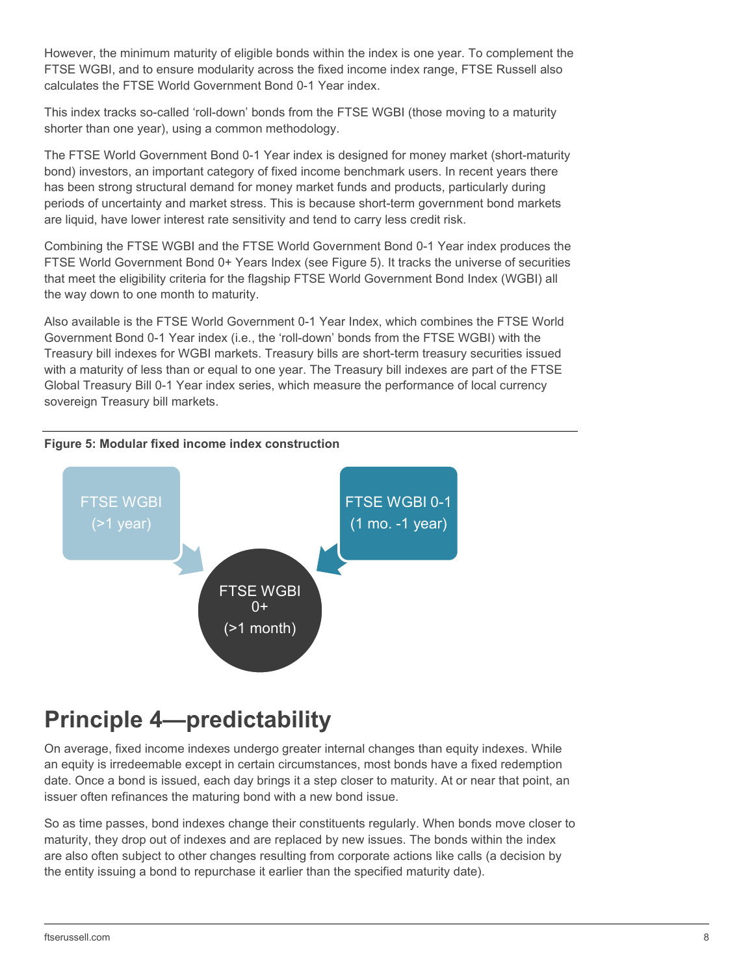However, the minimum maturity of eligible bonds within the index is one year. To complement the FTSE WGBI, and to ensure modularity across the fixed income index range, FTSE Russell also calculates the FTSE World Government Bond 0-1 Year index.

This index tracks so-called 'roll-down' bonds from the FTSE WGBI (those moving to a maturity shorter than one year), using a common methodology.

The FTSE World Government Bond 0-1 Year index is designed for money market (short-maturity bond) investors, an important category of fixed income benchmark users. In recent years there has been strong structural demand for money market funds and products, particularly during periods of uncertainty and market stress. This is because short-term government bond markets are liquid, have lower interest rate sensitivity and tend to carry less credit risk.

Combining the FTSE WGBI and the FTSE World Government Bond 0-1 Year index produces the FTSE World Government Bond 0+ Years Index (see Figure 5). It tracks the universe of securities that meet the eligibility criteria for the flagship FTSE World Government Bond Index (WGBI) all the way down to one month to maturity.

Also available is the FTSE World Government 0-1 Year Index, which combines the FTSE World Government Bond 0-1 Year index (i.e., the 'roll-down' bonds from the FTSE WGBI) with the Treasury bill indexes for WGBI markets. Treasury bills are short-term treasury securities issued with a maturity of less than or equal to one year. The Treasury bill indexes are part of the FTSE Global Treasury Bill 0-1 Year index series, which measure the performance of local currency sovereign Treasury bill markets.

#### **Figure 5: Modular fixed income index construction**



### <span id="page-7-0"></span>**Principle 4—predictability**

On average, fixed income indexes undergo greater internal changes than equity indexes. While an equity is irredeemable except in certain circumstances, most bonds have a fixed redemption date. Once a bond is issued, each day brings it a step closer to maturity. At or near that point, an issuer often refinances the maturing bond with a new bond issue.

So as time passes, bond indexes change their constituents regularly. When bonds move closer to maturity, they drop out of indexes and are replaced by new issues. The bonds within the index are also often subject to other changes resulting from corporate actions like calls (a decision by the entity issuing a bond to repurchase it earlier than the specified maturity date).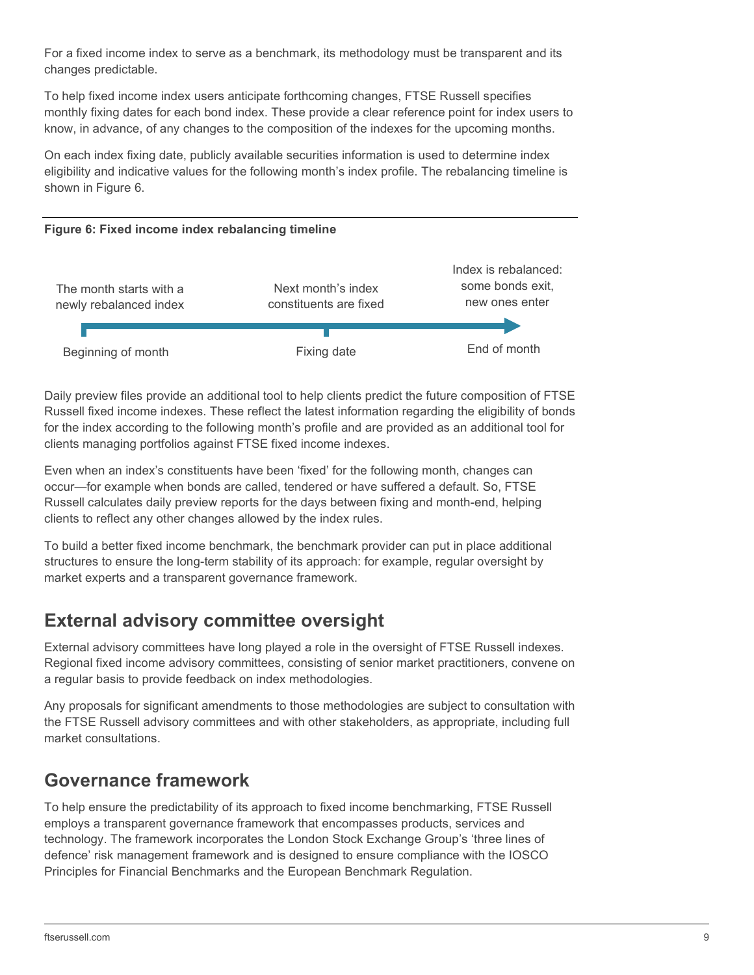For a fixed income index to serve as a benchmark, its methodology must be transparent and its changes predictable.

To help fixed income index users anticipate forthcoming changes, FTSE Russell specifies monthly fixing dates for each bond index. These provide a clear reference point for index users to know, in advance, of any changes to the composition of the indexes for the upcoming months.

On each index fixing date, publicly available securities information is used to determine index eligibility and indicative values for the following month's index profile. The rebalancing timeline is shown in Figure 6.

#### **Figure 6: Fixed income index rebalancing timeline**



Daily preview files provide an additional tool to help clients predict the future composition of FTSE Russell fixed income indexes. These reflect the latest information regarding the eligibility of bonds for the index according to the following month's profile and are provided as an additional tool for clients managing portfolios against FTSE fixed income indexes.

Even when an index's constituents have been 'fixed' for the following month, changes can occur—for example when bonds are called, tendered or have suffered a default. So, FTSE Russell calculates daily preview reports for the days between fixing and month-end, helping clients to reflect any other changes allowed by the index rules.

To build a better fixed income benchmark, the benchmark provider can put in place additional structures to ensure the long-term stability of its approach: for example, regular oversight by market experts and a transparent governance framework.

### **External advisory committee oversight**

External advisory committees have long played a role in the oversight of FTSE Russell indexes. Regional fixed income advisory committees, consisting of senior market practitioners, convene on a regular basis to provide feedback on index methodologies.

Any proposals for significant amendments to those methodologies are subject to consultation with the FTSE Russell advisory committees and with other stakeholders, as appropriate, including full market consultations.

### **Governance framework**

To help ensure the predictability of its approach to fixed income benchmarking, FTSE Russell employs a transparent governance framework that encompasses products, services and technology. The framework incorporates the London Stock Exchange Group's 'three lines of defence' risk management framework and is designed to ensure compliance with the IOSCO Principles for Financial Benchmarks and the European Benchmark Regulation.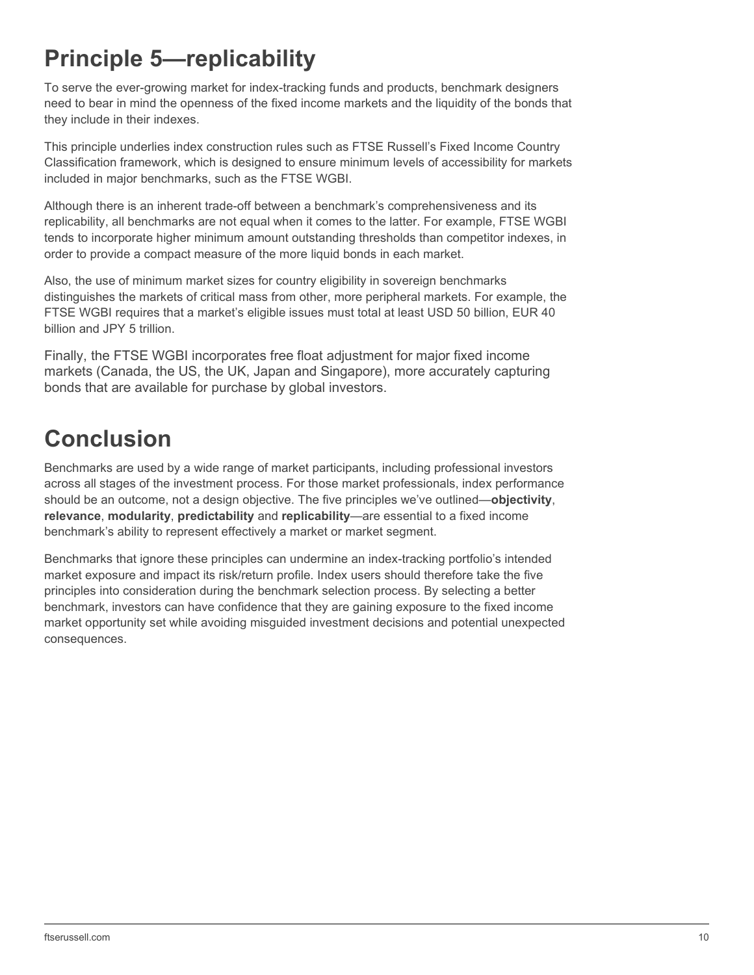# <span id="page-9-0"></span>**Principle 5—replicability**

To serve the ever-growing market for index-tracking funds and products, benchmark designers need to bear in mind the openness of the fixed income markets and the liquidity of the bonds that they include in their indexes.

This principle underlies index construction rules such as FTSE Russell's Fixed Income Country Classification framework, which is designed to ensure minimum levels of accessibility for markets included in major benchmarks, such as the FTSE WGBI.

Although there is an inherent trade-off between a benchmark's comprehensiveness and its replicability, all benchmarks are not equal when it comes to the latter. For example, FTSE WGBI tends to incorporate higher minimum amount outstanding thresholds than competitor indexes, in order to provide a compact measure of the more liquid bonds in each market.

Also, the use of minimum market sizes for country eligibility in sovereign benchmarks distinguishes the markets of critical mass from other, more peripheral markets. For example, the FTSE WGBI requires that a market's eligible issues must total at least USD 50 billion, EUR 40 billion and JPY 5 trillion.

Finally, the FTSE WGBI incorporates free float adjustment for major fixed income markets (Canada, the US, the UK, Japan and Singapore), more accurately capturing bonds that are available for purchase by global investors.

## <span id="page-9-1"></span>**Conclusion**

Benchmarks are used by a wide range of market participants, including professional investors across all stages of the investment process. For those market professionals, index performance should be an outcome, not a design objective. The five principles we've outlined—**objectivity**, **relevance**, **modularity**, **predictability** and **replicability**—are essential to a fixed income benchmark's ability to represent effectively a market or market segment.

Benchmarks that ignore these principles can undermine an index-tracking portfolio's intended market exposure and impact its risk/return profile. Index users should therefore take the five principles into consideration during the benchmark selection process. By selecting a better benchmark, investors can have confidence that they are gaining exposure to the fixed income market opportunity set while avoiding misguided investment decisions and potential unexpected consequences.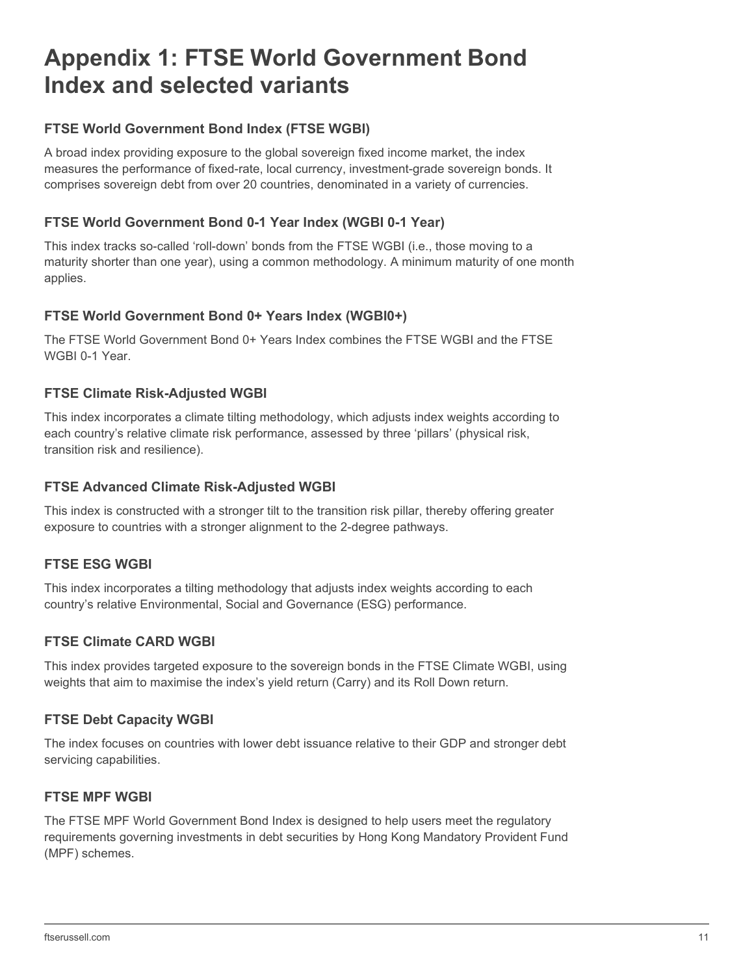## <span id="page-10-0"></span>**Appendix 1: FTSE World Government Bond Index and selected variants**

#### **FTSE World Government Bond Index (FTSE WGBI)**

A broad index providing exposure to the global sovereign fixed income market, the index measures the performance of fixed-rate, local currency, investment-grade sovereign bonds. It comprises sovereign debt from over 20 countries, denominated in a variety of currencies.

#### **FTSE World Government Bond 0-1 Year Index (WGBI 0-1 Year)**

This index tracks so-called 'roll-down' bonds from the FTSE WGBI (i.e., those moving to a maturity shorter than one year), using a common methodology. A minimum maturity of one month applies.

#### **FTSE World Government Bond 0+ Years Index (WGBI0+)**

The FTSE World Government Bond 0+ Years Index combines the FTSE WGBI and the FTSE WGBI 0-1 Year.

#### **FTSE Climate Risk-Adjusted WGBI**

This index incorporates a climate tilting methodology, which adjusts index weights according to each country's relative climate risk performance, assessed by three 'pillars' (physical risk, transition risk and resilience).

#### **FTSE Advanced Climate Risk-Adjusted WGBI**

This index is constructed with a stronger tilt to the transition risk pillar, thereby offering greater exposure to countries with a stronger alignment to the 2-degree pathways.

#### **FTSE ESG WGBI**

This index incorporates a tilting methodology that adjusts index weights according to each country's relative Environmental, Social and Governance (ESG) performance.

#### **FTSE Climate CARD WGBI**

This index provides targeted exposure to the sovereign bonds in the FTSE Climate WGBI, using weights that aim to maximise the index's yield return (Carry) and its Roll Down return.

#### **FTSE Debt Capacity WGBI**

The index focuses on countries with lower debt issuance relative to their GDP and stronger debt servicing capabilities.

#### **FTSE MPF WGBI**

The FTSE MPF World Government Bond Index is designed to help users meet the regulatory requirements governing investments in debt securities by Hong Kong Mandatory Provident Fund (MPF) schemes.